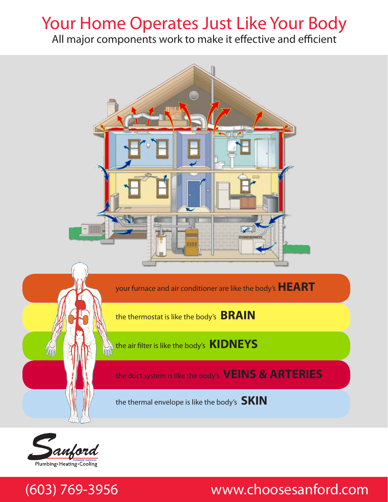## Your Home Operates Just Like Your Body

All major components work to make it effective and efficient



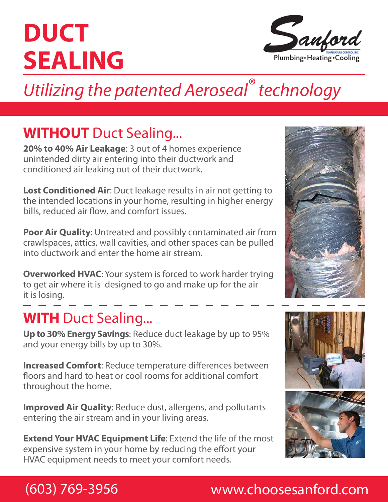# **DUCT SEALING**



## *Utilizing the patented Aeroseal® technology*

## **WITHOUT** Duct Sealing...

**20% to 40% Air Leakage**: 3 out of 4 homes experience unintended dirty air entering into their ductwork and conditioned air leaking out of their ductwork.

**Lost Conditioned Air**: Duct leakage results in air not getting to the intended locations in your home, resulting in higher energy bills, reduced air flow, and comfort issues.

**Poor Air Quality**: Untreated and possibly contaminated air from crawlspaces, attics, wall cavities, and other spaces can be pulled into ductwork and enter the home air stream.

**Overworked HVAC:** Your system is forced to work harder trying to get air where it is designed to go and make up for the air it is losing.

### **WITH** Duct Sealing...

**Up to 30% Energy Savings**: Reduce duct leakage by up to 95% and your energy bills by up to 30%.

**Increased Comfort**: Reduce temperature differences between floors and hard to heat or cool rooms for additional comfort throughout the home.

**Improved Air Quality**: Reduce dust, allergens, and pollutants entering the air stream and in your living areas.

**Extend Your HVAC Equipment Life**: Extend the life of the most expensive system in your home by reducing the effort your HVAC equipment needs to meet your comfort needs.





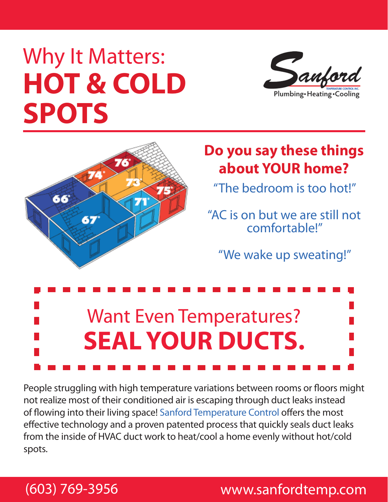# Why It Matters: **HOT & COLD SPOTS**





## **Do you say these things about YOUR home?**

"The bedroom is too hot!"

"AC is on but we are still not comfortable!"

"We wake up sweating!"



People struggling with high temperature variations between rooms or floors might not realize most of their conditioned air is escaping through duct leaks instead of flowing into their living space! Sanford Temperature Control offers the most effective technology and a proven patented process that quickly seals duct leaks from the inside of HVAC duct work to heat/cool a home evenly without hot/cold spots.

### (603) 769-3956 www.sanfordtemp.com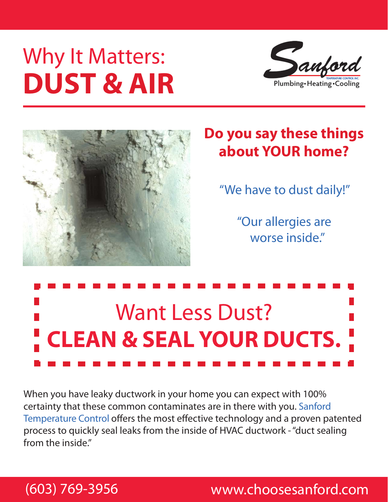# Why It Matters: **DUST & AIR**





## **Do you say these things about YOUR home?**

"We have to dust daily!"

"Our allergies are worse inside."



When you have leaky ductwork in your home you can expect with 100% certainty that these common contaminates are in there with you. Sanford Temperature Control offers the most effective technology and a proven patented process to quickly seal leaks from the inside of HVAC ductwork - "duct sealing from the inside."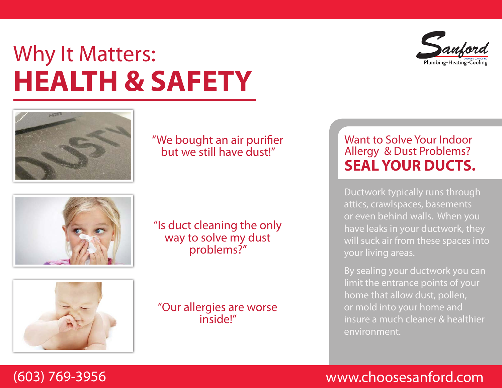# Why It Matters: **HEALTH & SAFETY**



### "We bought an air purifier but we still have dust!"

"Is duct cleaning the only way to solve my dust problems?"



"Our allergies are worse inside!"

### Want to Solve Your Indoor Allergy & Dust Problems? **SEAL YOUR DUCTS.**

Ductwork typically runs through attics, crawlspaces, basements or even behind walls. When you have leaks in your ductwork, they will suck air from these spaces into your living areas.

By sealing your ductwork you can limit the entrance points of your home that allow dust, pollen, or mold into your home and insure a much cleaner & healthier environment.



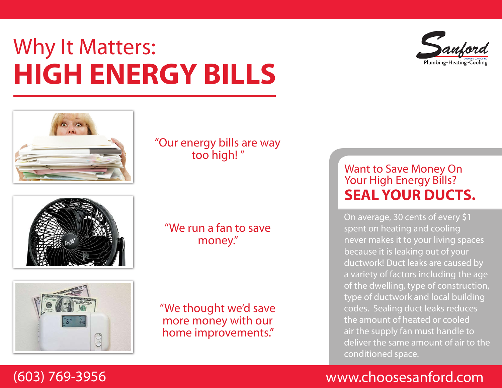# Plumbing · Heating · Cooli

# Why It Matters: **HIGH ENERGY BILLS**



"Our energy bills are way too high! "



"We run a fan to save money."



"We thought we'd save more money with our home improvements."

### Want to Save Money On Your High Energy Bills? **SEAL YOUR DUCTS.**

On average, 30 cents of every \$1 spent on heating and cooling never makes it to your living spaces because it is leaking out of your ductwork! Duct leaks are caused by a variety of factors including the age of the dwelling, type of construction, type of ductwork and local building codes. Sealing duct leaks reduces the amount of heated or cooled air the supply fan must handle to deliver the same amount of air to the conditioned space.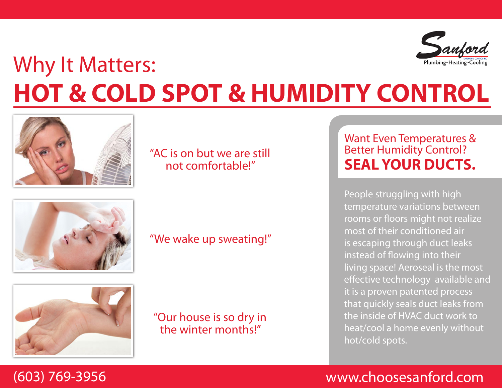

# Why It Matters: **HOT & COLD SPOT & HUMIDITY CONTROL**



### "AC is on but we are still not comfortable!"



### "We wake up sweating!"



"Our house is so dry in the winter months!"

### Want Even Temperatures & **Better Humidity Control? SEAL YOUR DUCTS.**

People struggling with high temperature variations between rooms or floors might not realize most of their conditioned air is escaping through duct leaks instead of flowing into their living space! Aeroseal is the most effective technology available and it is a proven patented process that quickly seals duct leaks from the inside of HVAC duct work to heat/cool a home evenly without hot/cold spots.